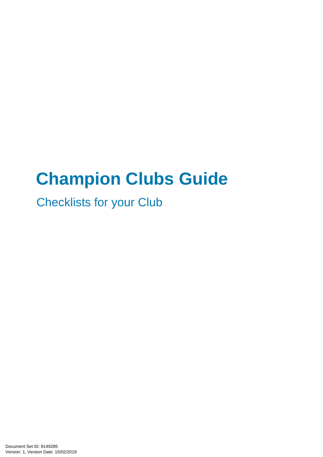# **Champion Clubs Guide**

Checklists for your Club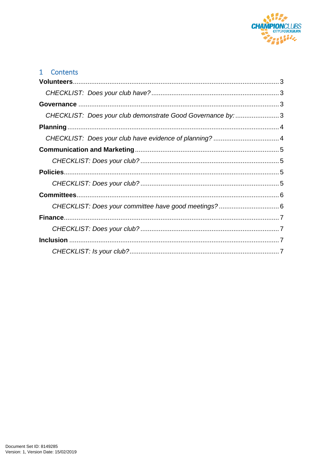

| 1 Contents                                                  |  |
|-------------------------------------------------------------|--|
|                                                             |  |
|                                                             |  |
|                                                             |  |
| CHECKLIST: Does your club demonstrate Good Governance by: 3 |  |
|                                                             |  |
|                                                             |  |
|                                                             |  |
|                                                             |  |
|                                                             |  |
|                                                             |  |
|                                                             |  |
|                                                             |  |
|                                                             |  |
|                                                             |  |
|                                                             |  |
|                                                             |  |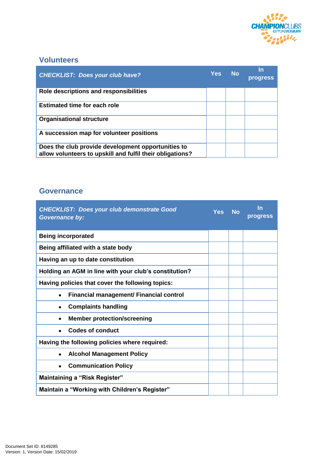

#### <span id="page-2-0"></span>**Volunteers**

<span id="page-2-1"></span>

| <b>CHECKLIST: Does your club have?</b>                                                                          | <b>Yes</b> | <b>No</b> | In<br>progress <sup>®</sup> |
|-----------------------------------------------------------------------------------------------------------------|------------|-----------|-----------------------------|
| Role descriptions and responsibilities                                                                          |            |           |                             |
| <b>Estimated time for each role</b>                                                                             |            |           |                             |
| <b>Organisational structure</b>                                                                                 |            |           |                             |
| A succession map for volunteer positions                                                                        |            |           |                             |
| Does the club provide development opportunities to<br>allow volunteers to upskill and fulfil their obligations? |            |           |                             |

#### <span id="page-2-2"></span>**Governance**

<span id="page-2-3"></span>

| <b>CHECKLIST: Does your club demonstrate Good</b><br><b>Governance by:</b> | Yes No | In<br>progress |
|----------------------------------------------------------------------------|--------|----------------|
| <b>Being incorporated</b>                                                  |        |                |
| Being affiliated with a state body                                         |        |                |
| Having an up to date constitution                                          |        |                |
| Holding an AGM in line with your club's constitution?                      |        |                |
| Having policies that cover the following topics:                           |        |                |
| Financial management/ Financial control<br>$\bullet$                       |        |                |
| <b>Complaints handling</b>                                                 |        |                |
| <b>Member protection/screening</b><br>$\bullet$                            |        |                |
| <b>Codes of conduct</b>                                                    |        |                |
| Having the following policies where required:                              |        |                |
| <b>Alcohol Management Policy</b><br>$\bullet$                              |        |                |
| <b>Communication Policy</b>                                                |        |                |
| <b>Maintaining a "Risk Register"</b>                                       |        |                |
| Maintain a "Working with Children's Register"                              |        |                |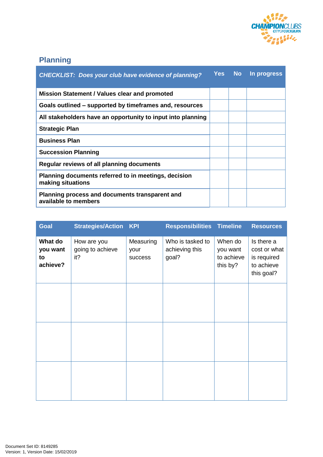

# <span id="page-3-0"></span>**Planning**

<span id="page-3-1"></span>

| <b>CHECKLIST: Does your club have evidence of planning?</b>               | Yes No | In progress |
|---------------------------------------------------------------------------|--------|-------------|
| <b>Mission Statement / Values clear and promoted</b>                      |        |             |
| Goals outlined – supported by timeframes and, resources                   |        |             |
| All stakeholders have an opportunity to input into planning               |        |             |
| <b>Strategic Plan</b>                                                     |        |             |
| <b>Business Plan</b>                                                      |        |             |
| <b>Succession Planning</b>                                                |        |             |
| Regular reviews of all planning documents                                 |        |             |
| Planning documents referred to in meetings, decision<br>making situations |        |             |
| Planning process and documents transparent and<br>available to members    |        |             |

| <b>Goal</b>                           | <b>Strategies/Action KPI</b>           |                              | <b>Responsibilities</b>                     | <b>Timeline</b>                               | <b>Resources</b>                                                      |
|---------------------------------------|----------------------------------------|------------------------------|---------------------------------------------|-----------------------------------------------|-----------------------------------------------------------------------|
| What do<br>you want<br>to<br>achieve? | How are you<br>going to achieve<br>it? | Measuring<br>your<br>success | Who is tasked to<br>achieving this<br>goal? | When do<br>you want<br>to achieve<br>this by? | Is there a<br>cost or what<br>is required<br>to achieve<br>this goal? |
|                                       |                                        |                              |                                             |                                               |                                                                       |
|                                       |                                        |                              |                                             |                                               |                                                                       |
|                                       |                                        |                              |                                             |                                               |                                                                       |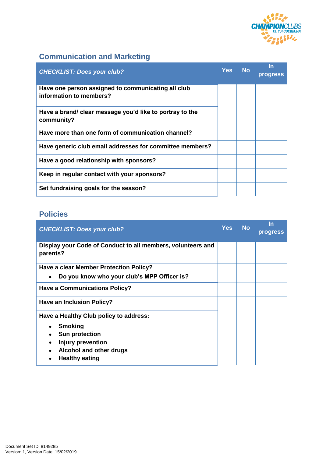

# <span id="page-4-0"></span>**Communication and Marketing**

<span id="page-4-1"></span>

| <b>CHECKLIST: Does your club?</b>                                             | <b>Yes</b> | <b>No</b> | In<br>progress <sup>'</sup> |
|-------------------------------------------------------------------------------|------------|-----------|-----------------------------|
| Have one person assigned to communicating all club<br>information to members? |            |           |                             |
| Have a brand/ clear message you'd like to portray to the<br>community?        |            |           |                             |
| Have more than one form of communication channel?                             |            |           |                             |
| Have generic club email addresses for committee members?                      |            |           |                             |
| Have a good relationship with sponsors?                                       |            |           |                             |
| Keep in regular contact with your sponsors?                                   |            |           |                             |
| Set fundraising goals for the season?                                         |            |           |                             |

## <span id="page-4-2"></span>**Policies**

<span id="page-4-3"></span>

| <b>CHECKLIST: Does your club?</b>                                       | <b>Yes</b> | <b>No</b> | In<br>progress <sup>'</sup> |
|-------------------------------------------------------------------------|------------|-----------|-----------------------------|
| Display your Code of Conduct to all members, volunteers and<br>parents? |            |           |                             |
| Have a clear Member Protection Policy?                                  |            |           |                             |
| Do you know who your club's MPP Officer is?                             |            |           |                             |
| <b>Have a Communications Policy?</b>                                    |            |           |                             |
| <b>Have an Inclusion Policy?</b>                                        |            |           |                             |
| Have a Healthy Club policy to address:                                  |            |           |                             |
| <b>Smoking</b>                                                          |            |           |                             |
| <b>Sun protection</b>                                                   |            |           |                             |
| <b>Injury prevention</b>                                                |            |           |                             |
| Alcohol and other drugs                                                 |            |           |                             |
| <b>Healthy eating</b>                                                   |            |           |                             |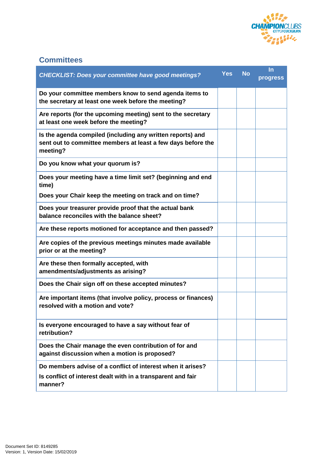

# <span id="page-5-0"></span>**Committees**

<span id="page-5-1"></span>

| <b>CHECKLIST: Does your committee have good meetings?</b>                                                                              | <b>Yes</b> | <b>No</b> | In<br>progress |
|----------------------------------------------------------------------------------------------------------------------------------------|------------|-----------|----------------|
| Do your committee members know to send agenda items to<br>the secretary at least one week before the meeting?                          |            |           |                |
| Are reports (for the upcoming meeting) sent to the secretary<br>at least one week before the meeting?                                  |            |           |                |
| Is the agenda compiled (including any written reports) and<br>sent out to committee members at least a few days before the<br>meeting? |            |           |                |
| Do you know what your quorum is?                                                                                                       |            |           |                |
| Does your meeting have a time limit set? (beginning and end<br>time)                                                                   |            |           |                |
| Does your Chair keep the meeting on track and on time?                                                                                 |            |           |                |
| Does your treasurer provide proof that the actual bank<br>balance reconciles with the balance sheet?                                   |            |           |                |
| Are these reports motioned for acceptance and then passed?                                                                             |            |           |                |
| Are copies of the previous meetings minutes made available<br>prior or at the meeting?                                                 |            |           |                |
| Are these then formally accepted, with<br>amendments/adjustments as arising?                                                           |            |           |                |
| Does the Chair sign off on these accepted minutes?                                                                                     |            |           |                |
| Are important items (that involve policy, process or finances)<br>resolved with a motion and vote?                                     |            |           |                |
| Is everyone encouraged to have a say without fear of<br>retribution?                                                                   |            |           |                |
| Does the Chair manage the even contribution of for and<br>against discussion when a motion is proposed?                                |            |           |                |
| Do members advise of a conflict of interest when it arises?<br>Is conflict of interest dealt with in a transparent and fair            |            |           |                |
| manner?                                                                                                                                |            |           |                |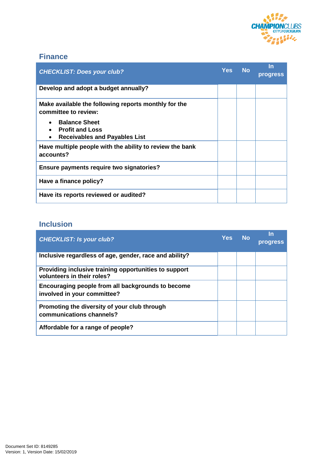

### <span id="page-6-0"></span>**Finance**

<span id="page-6-1"></span>

| <b>CHECKLIST: Does your club?</b>                                                      | <b>Yes</b> | <b>No</b> | In<br><b>progress</b> |
|----------------------------------------------------------------------------------------|------------|-----------|-----------------------|
| Develop and adopt a budget annually?                                                   |            |           |                       |
| Make available the following reports monthly for the<br>committee to review:           |            |           |                       |
| <b>Balance Sheet</b><br><b>Profit and Loss</b><br><b>Receivables and Payables List</b> |            |           |                       |
| Have multiple people with the ability to review the bank<br>accounts?                  |            |           |                       |
| Ensure payments require two signatories?                                               |            |           |                       |
| Have a finance policy?                                                                 |            |           |                       |
| Have its reports reviewed or audited?                                                  |            |           |                       |

# <span id="page-6-2"></span>**Inclusion**

<span id="page-6-3"></span>

| <b>CHECKLIST: Is your club?</b>                                                     | Yes No | In<br>progress <sup>'</sup> |
|-------------------------------------------------------------------------------------|--------|-----------------------------|
| Inclusive regardless of age, gender, race and ability?                              |        |                             |
| Providing inclusive training opportunities to support<br>volunteers in their roles? |        |                             |
| Encouraging people from all backgrounds to become<br>involved in your committee?    |        |                             |
| Promoting the diversity of your club through<br>communications channels?            |        |                             |
| Affordable for a range of people?                                                   |        |                             |